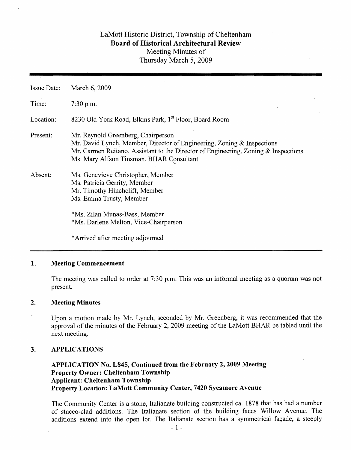# LaMott Historic District, Township of Cheltenham Board of Historical Architectural Review Meeting Minutes of Thursday March 5, 2009

| <b>Issue Date:</b> | March 6, 2009                                                                                                                                                                                                                                  |  |  |  |  |  |  |  |
|--------------------|------------------------------------------------------------------------------------------------------------------------------------------------------------------------------------------------------------------------------------------------|--|--|--|--|--|--|--|
| Time:              | $7:30$ p.m.                                                                                                                                                                                                                                    |  |  |  |  |  |  |  |
| Location:          | 8230 Old York Road, Elkins Park, 1 <sup>st</sup> Floor, Board Room                                                                                                                                                                             |  |  |  |  |  |  |  |
| Present:           | Mr. Reynold Greenberg, Chairperson<br>Mr. David Lynch, Member, Director of Engineering, Zoning & Inspections<br>Mr. Carmen Reitano, Assistant to the Director of Engineering, Zoning & Inspections<br>Ms. Mary Alfson Tinsman, BHAR Consultant |  |  |  |  |  |  |  |
| Absent:            | Ms. Genevieve Christopher, Member<br>Ms. Patricia Gerrity, Member<br>Mr. Timothy Hinchcliff, Member<br>Ms. Emma Trusty, Member                                                                                                                 |  |  |  |  |  |  |  |
|                    | *Ms. Zilan Munas-Bass, Member<br>*Ms. Darlene Melton, Vice-Chairperson                                                                                                                                                                         |  |  |  |  |  |  |  |
|                    | *Arrived after meeting adjourned                                                                                                                                                                                                               |  |  |  |  |  |  |  |

## 1. Meeting Commencement

The meeting was called to order at 7:30 p.m. This was an informal meeting as a quorum was not present.

## 2. Meeting Minutes

Upon a motion made by Mr. Lynch, seconded by Mr. Greenberg, it was recommended that the approval of the minutes of the February 2, 2009 meeting of the LaMott BHAR be tabled until the next meeting.

## 3. APPLICATIONS

## APPLICATION No. L845, Continued from the February 2, 2009 Meeting Property Owner: Cheltenham Townsbip Applicant: Cheltenham Township Property Location: LaMott Community Center, 7420 Sycamore Avenue

The Community Center is a stone, Italianate building constructed ca. 1878 that has had a number of stucco-clad additions. The Italianate section of the building faces Willow Avenue. The additions extend into the open lot. The Italianate section has a symmetrical façade, a steeply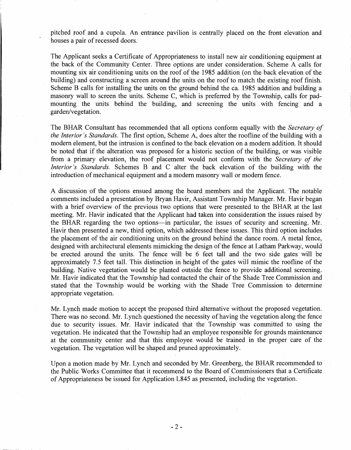pitched roof and a cupola. An entrance pavilion is centrally placed on the front elevation and houses a pair of recessed doors.

The Applicant seeks a Certificate of Appropriateness to install new air conditioning equipment at the back of the Community Center. Three options are under consideration. Scheme A calls for mounting six air conditioning units on the roof of the 1985 addition (on the back elevation of the building) and constructing a screen around the units on the roof to match the existing roof finish. Scheme B calls for installing the units on the ground 'behind the ca. 1985 addition and building a masonry wall to screen the units. Scheme C, which is preferred by the Township, calls for padmounting the units behind the building, and screening the units with fencing and a garden/vegetation.

The BHAR Consultant has recommended that all options conform equally with the *Secretary of the Interior's Standards*. The first option, Scheme A, does alter the roofline of the building with a modern element, but the intrusion is confined to the back elevation on a modern addition. It should be noted that if the alteration was proposed for a historic section of the building, or was visible from a primary elevation, the roof placement would not conform with the *Secretary of the Interior's Standards.* Schemes B and C alter the back elevation of the building with the introduction of mechanical equipment and a modem masonry wall or modem fence.

A discussion of the options ensued among the board members and the Applicant. The notable comments included a presentation by Bryan Havir, Assistant Township Manager. Mr. Havir began with a brief overview of the previous two options that were presented to the BHAR at the last meeting. Mr. Havir indicated that the Applicant had taken into consideration the issues raised by the BHAR regarding the two options-in particular, the issues of security and screening. Mr. Havir then presented a new, third option, which addressed these issues. This third option includes the placement of the air conditioning units on the ground behind the dance room. A metal fence, designed with architectural elements mimicking the design of the fence at Latham Parkway, would be erected around the units. The fence will be 6 feet tall and the two side gates will be approximately 7.5 feet tall. This distinction in height of the gates will mimic the roofline of the building. Native vegetation would be planted outside the fence to provide additional screening. Mr. Havir indicated that the Township had contacted the chair of the Shade Tree Commission and stated that the Township would be working with the Shade Tree Commission to determine appropriate vegetation.

Mr. Lynch made motion to accept the proposed third alternative without the proposed vegetation. There was no second. Mr. Lynch questioned the necessity of having the vegetation along the fence due to security issues. Mr. Havir indicated that the Township was committed to using the vegetation. He indicated that the Township had an employee responsible for grounds maintenance at the community center and that this employee would· be trained in the proper care of the vegetation. The vegetation will be shaped and pruned approximately.

Upon a motion made by Mr. Lynch and seconded by Mr. Greenberg, the BHAR recommended to the Public Works Committee that it recommend to the Board of Commissioners that a Certificate of Appropriateness be issued for Application L845 as presented, including the vegetation.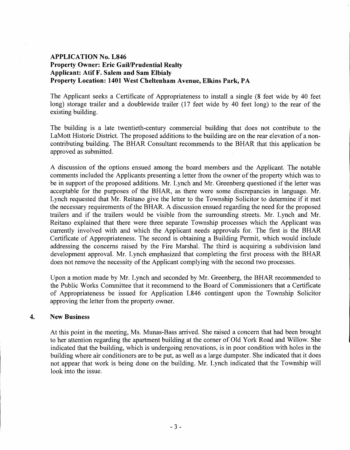## APPLICATION No. L846 Property Owner: Eric Gail/Prudential Realty Applicant: Atif F. Salem and Sam Elbialy Property Location: 1401 West Cheltenham Avenue, Elkins Park, PA

The Applicant seeks a Certificate of Appropriateness to install a single (8 feet wide by 40 feet long) storage trailer and a doublewide trailer (17 feet wide by 40 feet long) to the rear of the existing building.

The building is a late twentieth-century commercial building that does not contribute to the LaMott Historic District. The proposed additions to the building are on the rear elevation of a noncontributing building. The BHAR Consultant recommends to the BHAR that this application be approved as submitted.

A discussion of the. options ensued among the board members and the Applicant. The notable comments included the Applicants presenting a letter from the owner of the property which was to be in support of the proposed additions. Mr. Lynch and Mr. Greenberg questioned if the letter was acceptable for the purposes of the BHAR, as there were some discrepancies in language. Mr. Lynch requested that Mr. Reitano give the letter to the Township Solicitor to determine if it met the necessary requirements of the BHAR. A discussion ensued regarding the need for the proposed trailers and if the trailers would be visible from the surrounding streets. Mr. Lynch and Mr. Reitano explained that there were three separate Township processes which the Applicant was currently involved with and which the Applicant needs approvals for. The first is the BHAR Certificate of Appropriateness. The second is obtaining a Building Permit, which would include addressing the concerns raised by the Fire Marshal. The third is acquiring a subdivision land development approval. Mr. Lynch emphasized that completing the first process with the BHAR does not remove the necessity of the Applicant complying with the second two processes.

Upon a motion made by Mr. Lynch and seconded by Mr. Greenberg, the BHAR recommended to the Public Works Committee that it recommend to the Board of Commissioners that a Certificate of Appropriateness be issued for Application L846 contingent upon the Township Solicitor approving the letter from the property owner.

#### 4. New Business

At this point in the meeting, Ms. Munas-Bass arrived. She raised a concern that had been brought to her attention regarding the apartment building at the corner of Old York Road and Willow. She indicated that the building, which is undergoing renovations, is in poor condition with holes in the building where air conditioners are to be put, as well as a large dumpster. She indicated that it does not appear that work is being done on the building. Mr. Lynch indicated that the Township will look into the issue.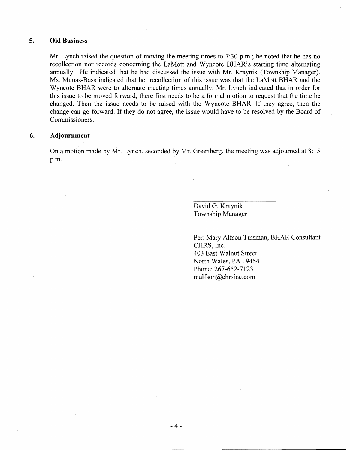## 5. **Old** Business

Mr. Lynch raised the question of moving the meeting times to 7:30 p.m.; he noted that he has no recollection nor records concerning the LaMott and Wyncote BHAR's starting time alternating annually. He indicated that he had discussed the issue with Mr. Kraynik (Township Manager). Ms. Munas-Bass indicated that her recollection of this issue was that the LaMott BHAR and the Wyncote BHAR were to alternate meeting times annually. Mr. Lynch indicated that in order for this issue to be moved forward, there first needs to be a formal motion to request that the time be changed. Then the issue needs to be raised with the Wyncote BHAR. If they agree, then the change can go forward. If they do not agree, the issue would have to be resolved by the Board of Commissioners.

#### **6. Adjournment**

On a motion made by Mr. Lynch, seconded by Mr. Greenberg, the meeting was adjourned at 8: 15 p.m.

> David G. Kraynik Township Manager

Per: Mary Alfson Tinsman, BHAR Consultant CHRS, Inc. 403 East Walnut Street North Wales, PA 19454 Phone: 267-652-7123 malfson@chrsinc.com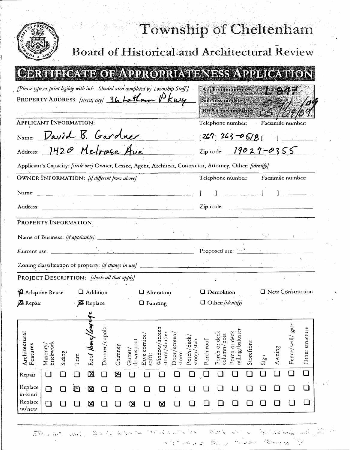| Township of Cheltenham<br><b>Board of Historical and Architectural Review</b>                                                                                                            |                                       |               |                                 |                         |                                |                     |                            |                                                  |                                        |                                                                             |            |                          |        |                     |                 |  |  |  |  |
|------------------------------------------------------------------------------------------------------------------------------------------------------------------------------------------|---------------------------------------|---------------|---------------------------------|-------------------------|--------------------------------|---------------------|----------------------------|--------------------------------------------------|----------------------------------------|-----------------------------------------------------------------------------|------------|--------------------------|--------|---------------------|-----------------|--|--|--|--|
|                                                                                                                                                                                          |                                       |               |                                 |                         |                                |                     |                            |                                                  |                                        |                                                                             |            |                          |        |                     |                 |  |  |  |  |
| <b>CERTIFICATE OF APPROPRIATENESS APPLICATION</b><br>[Please type or print legibly with ink. Shaded area completed by Township Staff.]<br>PROPERTY ADDRESS: [street, aty] 36 Latham Pkwy |                                       |               |                                 |                         |                                |                     |                            |                                                  |                                        | Application number<br>L 847<br>Submission date<br><b>BHAR</b> meeting date: |            |                          |        |                     |                 |  |  |  |  |
| APPLICANT INFORMATION:                                                                                                                                                                   |                                       |               |                                 |                         |                                |                     |                            |                                                  |                                        | Telephone number.                                                           |            |                          |        | Facsimile number:   |                 |  |  |  |  |
| Name: David B. Gardner                                                                                                                                                                   |                                       |               |                                 |                         |                                |                     |                            |                                                  |                                        | $[267]$ $263 - 05/8$                                                        |            |                          |        |                     |                 |  |  |  |  |
| Address: 1420 Metroge Ave                                                                                                                                                                |                                       |               |                                 |                         |                                |                     |                            |                                                  | $2ip \cdot code: 19027 - 0355$         |                                                                             |            |                          |        |                     |                 |  |  |  |  |
| Applicant's Capacity: [circle one] Owner, Lessee, Agent, Architect, Contractor, Attorney, Other: [identify]                                                                              |                                       |               |                                 |                         |                                |                     |                            |                                                  |                                        |                                                                             |            |                          |        |                     |                 |  |  |  |  |
| OWNER INFORMATION: [if different from above]                                                                                                                                             |                                       |               |                                 |                         |                                |                     |                            |                                                  | Facsimile number:<br>Telephone number: |                                                                             |            |                          |        |                     |                 |  |  |  |  |
| Name:                                                                                                                                                                                    |                                       |               |                                 |                         |                                |                     |                            |                                                  |                                        |                                                                             |            |                          |        |                     |                 |  |  |  |  |
|                                                                                                                                                                                          |                                       |               |                                 |                         |                                |                     |                            |                                                  |                                        |                                                                             |            |                          |        |                     |                 |  |  |  |  |
| PROPERTY INFORMATION:<br>Name of Business: [if applicable]                                                                                                                               |                                       |               |                                 |                         |                                |                     |                            |                                                  |                                        |                                                                             |            |                          |        |                     |                 |  |  |  |  |
|                                                                                                                                                                                          |                                       |               |                                 |                         |                                |                     |                            |                                                  |                                        |                                                                             |            |                          |        |                     |                 |  |  |  |  |
| Zoning classification of property: [if change in use]                                                                                                                                    |                                       |               |                                 |                         |                                |                     |                            |                                                  |                                        |                                                                             |            |                          |        |                     |                 |  |  |  |  |
| PROJECT DESCRIPTION: [check all that apply]                                                                                                                                              |                                       |               |                                 |                         |                                |                     |                            |                                                  |                                        |                                                                             |            |                          |        |                     |                 |  |  |  |  |
| Adaptive Reuse                                                                                                                                                                           | <b>Q</b> Addition                     |               |                                 |                         | <b>Q</b> Alteration            |                     |                            | <b>Q</b> New Construction<br><b>Q</b> Demolition |                                        |                                                                             |            |                          |        |                     |                 |  |  |  |  |
| <b>XI</b> Repair                                                                                                                                                                         | <b>X</b> Replace<br><b>Q</b> Painting |               |                                 |                         |                                |                     |                            | O Other: [identify]                              |                                        |                                                                             |            |                          |        |                     |                 |  |  |  |  |
| Architectural<br>Masonry/<br>brickwork<br>Features<br>Siding                                                                                                                             | Roof Hous<br>Tm                       | Dormer/cupola | downspout<br>Chimney<br>Gutter/ | Eave cornice/<br>soffit | Window/screen<br>storm/shutter | Door/screen<br>stom | Porch/deck/<br>stoop/stair | Porch roof                                       | Porch or deck<br>column/post           | Porch or deck<br>railing/baluster                                           | Storefront | $\mathop{\mathrm{Sign}}$ | Awning | gate<br>Fence/wall/ | Other structure |  |  |  |  |
| Repair                                                                                                                                                                                   | 図<br>$\blacksquare$                   | $\Box$        | 囟                               |                         |                                |                     |                            |                                                  | $\Box$                                 | $\Box$                                                                      |            | $\Box$                   | U I    | $\Box$              | $\Box$          |  |  |  |  |
| Replace<br>$\Box$<br>in-kind                                                                                                                                                             | $\mathbb{F}$<br>$\boxtimes$           |               |                                 |                         |                                |                     |                            |                                                  |                                        |                                                                             |            |                          |        |                     | $\Box$          |  |  |  |  |
| Replace<br>$\Box$<br>w/new                                                                                                                                                               | ⊠                                     |               | ⊠                               |                         | Ø                              |                     |                            |                                                  |                                        |                                                                             |            |                          |        |                     | $\Box$          |  |  |  |  |

 $\mathbb{P}^1$ 

Brund in Each Room and Company of the Company  $\mathcal{L}^{(n)}_{\mathcal{L}^{(n)}_{\mathcal{L}^{(n)}}}(\mathcal{L}^{(n)}_{\mathcal{L}^{(n)}}(\mathcal{L}^{(n)}_{\mathcal{L}^{(n)}}(\mathcal{L}^{(n)}_{\mathcal{L}^{(n)}}(\mathcal{L}^{(n)}_{\mathcal{L}^{(n)}}(\mathcal{L}^{(n)}_{\mathcal{L}^{(n)}}(\mathcal{L}^{(n)}_{\mathcal{L}^{(n)}}(\mathcal{L}^{(n)}_{\mathcal{L}^{(n)}}(\mathcal{L}^{(n)}_{\mathcal{L}^{(n)}}(\mathcal{L}^{(n)}_{\mathcal{L}^{($ 

 $\sim$